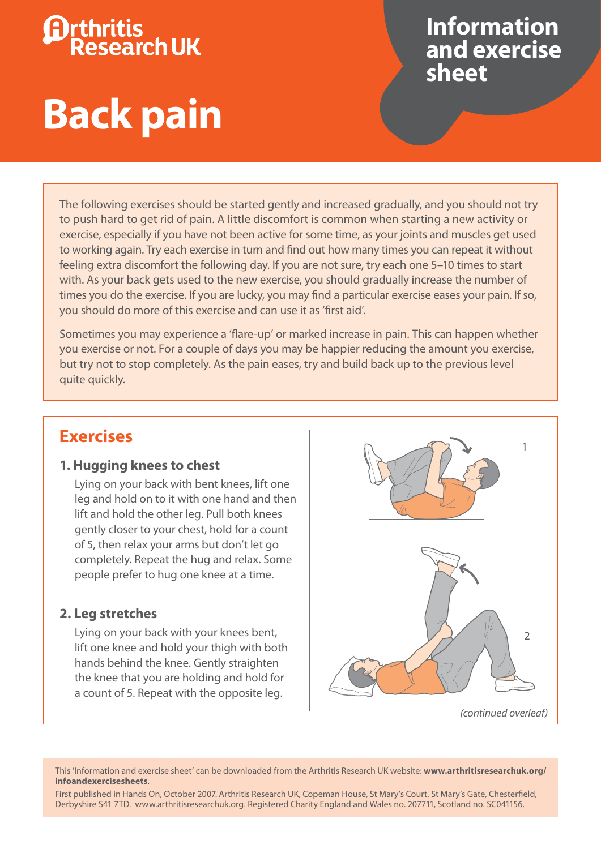# **Drthritis<br>Research UK**

# **Back pain**

# **Information and exercise sheet**

The following exercises should be started gently and increased gradually, and you should not try to push hard to get rid of pain. A little discomfort is common when starting a new activity or exercise, especially if you have not been active for some time, as your joints and muscles get used to working again. Try each exercise in turn and find out how many times you can repeat it without feeling extra discomfort the following day. If you are not sure, try each one 5–10 times to start with. As your back gets used to the new exercise, you should gradually increase the number of times you do the exercise. If you are lucky, you may find a particular exercise eases your pain. If so, you should do more of this exercise and can use it as 'first aid'.

Sometimes you may experience a 'flare-up' or marked increase in pain. This can happen whether you exercise or not. For a couple of days you may be happier reducing the amount you exercise, but try not to stop completely. As the pain eases, try and build back up to the previous level quite quickly.

## **Exercises**

#### **1. Hugging knees to chest**

Lying on your back with bent knees, lift one leg and hold on to it with one hand and then lift and hold the other leg. Pull both knees gently closer to your chest, hold for a count of 5, then relax your arms but don't let go completely. Repeat the hug and relax. Some people prefer to hug one knee at a time.

#### **2. Leg stretches**

Lying on your back with your knees bent, lift one knee and hold your thigh with both hands behind the knee. Gently straighten the knee that you are holding and hold for a count of 5. Repeat with the opposite leg.



This 'Information and exercise sheet' can be downloaded from the Arthritis Research UK website: **www.arthritisresearchuk.org/ infoandexercisesheets**.

First published in Hands On, October 2007. Arthritis Research UK, Copeman House, St Mary's Court, St Mary's Gate, Chesterfield, Derbyshire S41 7TD. www.arthritisresearchuk.org. Registered Charity England and Wales no. 207711, Scotland no. SC041156.